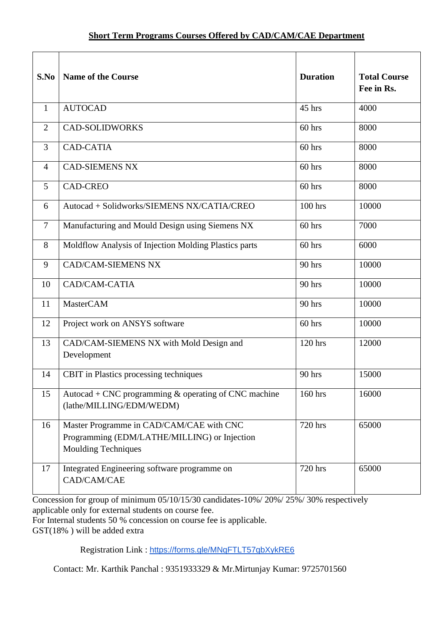| S.No           | <b>Name of the Course</b>                                                                                              | <b>Duration</b> | <b>Total Course</b><br>Fee in Rs. |
|----------------|------------------------------------------------------------------------------------------------------------------------|-----------------|-----------------------------------|
| $\mathbf{1}$   | <b>AUTOCAD</b>                                                                                                         | 45 hrs          | 4000                              |
| $\overline{2}$ | <b>CAD-SOLIDWORKS</b>                                                                                                  | $60$ hrs        | 8000                              |
| 3              | <b>CAD-CATIA</b>                                                                                                       | 60 hrs          | 8000                              |
| $\overline{4}$ | <b>CAD-SIEMENS NX</b>                                                                                                  | 60 hrs          | 8000                              |
| 5              | <b>CAD-CREO</b>                                                                                                        | 60 hrs          | 8000                              |
| 6              | Autocad + Solidworks/SIEMENS NX/CATIA/CREO                                                                             | 100 hrs         | 10000                             |
| $\tau$         | Manufacturing and Mould Design using Siemens NX                                                                        | $60$ hrs        | 7000                              |
| 8              | Moldflow Analysis of Injection Molding Plastics parts                                                                  | 60 hrs          | 6000                              |
| 9              | <b>CAD/CAM-SIEMENS NX</b>                                                                                              | 90 hrs          | 10000                             |
| 10             | CAD/CAM-CATIA                                                                                                          | 90 hrs          | 10000                             |
| 11             | <b>MasterCAM</b>                                                                                                       | 90 hrs          | 10000                             |
| 12             | Project work on ANSYS software                                                                                         | 60 hrs          | 10000                             |
| 13             | CAD/CAM-SIEMENS NX with Mold Design and<br>Development                                                                 | 120 hrs         | 12000                             |
| 14             | CBIT in Plastics processing techniques                                                                                 | 90 hrs          | 15000                             |
| 15             | Autocad + CNC programming $&$ operating of CNC machine<br>(lathe/MILLING/EDM/WEDM)                                     | 160 hrs         | 16000                             |
| 16             | Master Programme in CAD/CAM/CAE with CNC<br>Programming (EDM/LATHE/MILLING) or Injection<br><b>Moulding Techniques</b> | 720 hrs         | 65000                             |
| 17             | Integrated Engineering software programme on<br>$\mathrm{CAD/CAM/CAE}$                                                 | 720 hrs         | 65000                             |

Concession for group of minimum 05/10/15/30 candidates-10%/ 20%/ 25%/ 30% respectively applicable only for external students on course fee.

For Internal students 50 % concession on course fee is applicable.

GST(18% ) will be added extra

Registration Link : <https://forms.gle/MNqFTLT57qbXykRE6>

Contact: Mr. Karthik Panchal : 9351933329 & Mr.Mirtunjay Kumar: 9725701560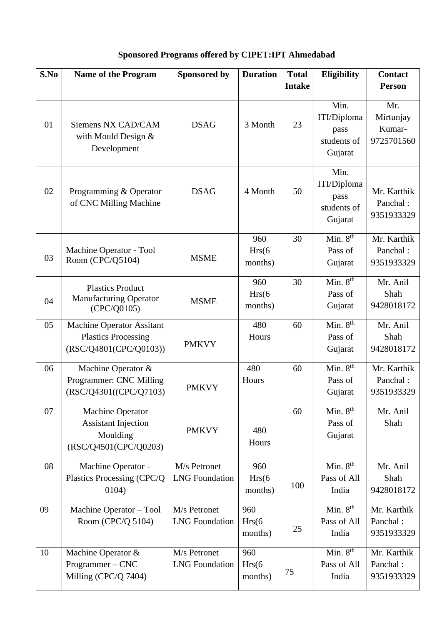## **Sponsored Programs offered by CIPET:IPT Ahmedabad**

| S.No | <b>Name of the Program</b>                               | <b>Sponsored by</b>   | <b>Duration</b>   | <b>Total</b>  | <b>Eligibility</b>                                    | <b>Contact</b>                           |
|------|----------------------------------------------------------|-----------------------|-------------------|---------------|-------------------------------------------------------|------------------------------------------|
|      |                                                          |                       |                   | <b>Intake</b> |                                                       | <b>Person</b>                            |
| 01   | Siemens NX CAD/CAM<br>with Mould Design &<br>Development | <b>DSAG</b>           | 3 Month           | 23            | Min.<br>ITI/Diploma<br>pass<br>students of<br>Gujarat | Mr.<br>Mirtunjay<br>Kumar-<br>9725701560 |
| 02   | Programming & Operator<br>of CNC Milling Machine         | <b>DSAG</b>           | 4 Month           | 50            | Min.<br>ITI/Diploma<br>pass<br>students of<br>Gujarat | Mr. Karthik<br>Panchal:<br>9351933329    |
|      |                                                          |                       | 960               | 30            | $\overline{\text{Min. 8}}^{\text{th}}$                | Mr. Karthik                              |
| 03   | Machine Operator - Tool<br>Room (CPC/Q5104)              | <b>MSME</b>           | Hrs(6)<br>months) |               | Pass of<br>Gujarat                                    | Panchal:<br>9351933329                   |
|      | <b>Plastics Product</b>                                  |                       | 960               | 30            | Min. $8th$                                            | Mr. Anil                                 |
| 04   | <b>Manufacturing Operator</b>                            | <b>MSME</b>           | Hrs(6)            |               | Pass of                                               | Shah                                     |
|      | (CPC/Q0105)                                              |                       | months)           |               | Gujarat                                               | 9428018172                               |
| 05   | <b>Machine Operator Assitant</b>                         |                       | 480               | 60            | Min. $8th$                                            | Mr. Anil                                 |
|      | <b>Plastics Processing</b>                               |                       | Hours             |               | Pass of                                               | Shah                                     |
|      | (RSC/Q4801(CPC/Q0103))                                   | <b>PMKVY</b>          |                   |               | Gujarat                                               | 9428018172                               |
| 06   | Machine Operator &                                       |                       | 480               | 60            | Min. $8th$                                            | Mr. Karthik                              |
|      | Programmer: CNC Milling                                  |                       | Hours             |               | Pass of                                               | Panchal:                                 |
|      | (RSC/Q4301((CPC/Q7103)                                   | <b>PMKVY</b>          |                   |               | Gujarat                                               | 9351933329                               |
| 07   | <b>Machine Operator</b>                                  |                       |                   | 60            | Min. 8 <sup>th</sup>                                  | Mr. Anil                                 |
|      | <b>Assistant Injection</b>                               |                       |                   |               | Pass of                                               | Shah                                     |
|      | Moulding                                                 | <b>PMKVY</b>          | 480               |               | Gujarat                                               |                                          |
|      | (RSC/Q4501(CPC/Q0203)                                    |                       | Hours             |               |                                                       |                                          |
| 08   | Machine Operator-                                        | M/s Petronet          | 960               |               | Min. $8th$                                            | Mr. Anil                                 |
|      | Plastics Processing (CPC/Q                               | <b>LNG</b> Foundation | Hrs(6)            |               | Pass of All                                           | Shah                                     |
|      | 0104)                                                    |                       | months)           | 100           | India                                                 | 9428018172                               |
| 09   | Machine Operator - Tool                                  | M/s Petronet          | 960               |               | Min. $8th$                                            | Mr. Karthik                              |
|      | Room (CPC/Q 5104)                                        | <b>LNG</b> Foundation | Hrs(6)            |               | Pass of All                                           | Panchal:                                 |
|      |                                                          |                       | months)           | 25            | India                                                 | 9351933329                               |
| 10   | Machine Operator &                                       | M/s Petronet          | 960               |               | Min. $8th$                                            | Mr. Karthik                              |
|      | Programmer-CNC                                           | <b>LNG</b> Foundation | Hrs(6)            | 75            | Pass of All                                           | Panchal:                                 |
|      | Milling (CPC/Q 7404)                                     |                       | months)           |               | India                                                 | 9351933329                               |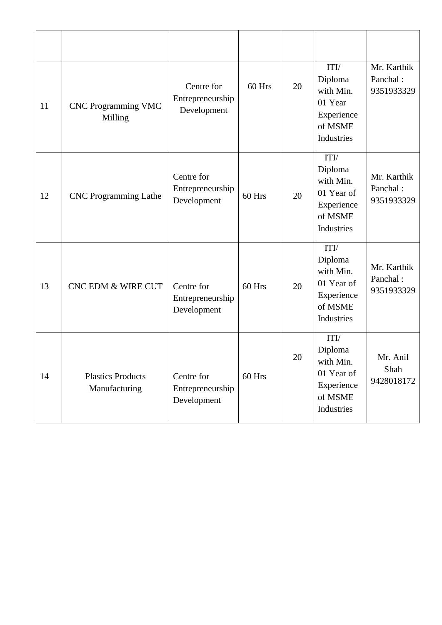| 11 | <b>CNC Programming VMC</b><br>Milling     | Centre for<br>Entrepreneurship<br>Development | 60 Hrs   | 20 | ITI/<br>Diploma<br>with Min.<br>01 Year<br>Experience<br>of MSME<br>Industries    | Mr. Karthik<br>Panchal:<br>9351933329 |
|----|-------------------------------------------|-----------------------------------------------|----------|----|-----------------------------------------------------------------------------------|---------------------------------------|
| 12 | <b>CNC</b> Programming Lathe              | Centre for<br>Entrepreneurship<br>Development | 60 Hrs   | 20 | ITI/<br>Diploma<br>with Min.<br>01 Year of<br>Experience<br>of MSME<br>Industries | Mr. Karthik<br>Panchal:<br>9351933329 |
| 13 | <b>CNC EDM &amp; WIRE CUT</b>             | Centre for<br>Entrepreneurship<br>Development | $60$ Hrs | 20 | ITI/<br>Diploma<br>with Min.<br>01 Year of<br>Experience<br>of MSME<br>Industries | Mr. Karthik<br>Panchal:<br>9351933329 |
| 14 | <b>Plastics Products</b><br>Manufacturing | Centre for<br>Entrepreneurship<br>Development | 60 Hrs   | 20 | ITI/<br>Diploma<br>with Min.<br>01 Year of<br>Experience<br>of MSME<br>Industries | Mr. Anil<br>Shah<br>9428018172        |